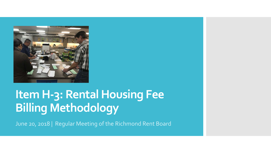

# **Item H-3: Rental Housing Fee Billing Methodology**

June 20, 2018 | Regular Meeting of the Richmond Rent Board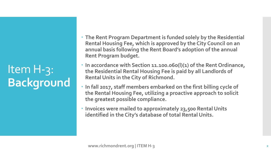Item H-3: **Background**

- **The Rent Program Department is funded solely by the Residential Rental Housing Fee, which is approved by the City Council on an annual basis following the Rent Board's adoption of the annual Rent Program budget.**
- **In accordance with Section 11.100.060(l)(1) of the Rent Ordinance, the Residential Rental Housing Fee is paid by all Landlords of Rental Units in the City of Richmond.**
- **In fall 2017, staff members embarked on the first billing cycle of the Rental Housing Fee, utilizing a proactive approach to solicit the greatest possible compliance.**
- **Invoices were mailed to approximately 23,500 Rental Units identified in the City's database of total Rental Units.**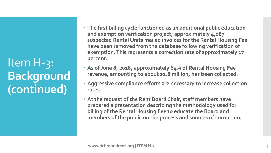Item H-3: **Background (continued)**

- **The first billing cycle functioned as an additional public education and exemption verification project; approximately 4,087 suspected Rental Units mailed invoices for the Rental Housing Fee have been removed from the database following verification of exemption. This represents a correction rate of approximately 17 percent.**
- **As of June 8, 2018, approximately 64% of Rental Housing Fee revenue, amounting to about \$1.8 million, has been collected.**
- **Aggressive compliance efforts are necessary to increase collection rates.**
- **At the request of the Rent Board Chair, staff members have prepared a presentation describing the methodology used for billing of the Rental Housing Fee to educate the Board and members of the public on the process and sources of correction.**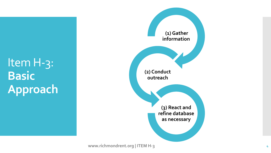Item H-3: **Basic Approach**

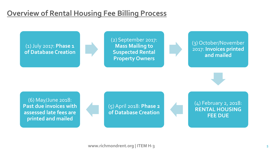# **Overview of Rental Housing Fee Billing Process**

(1) July 2017: **Phase 1 of Database Creation**

Item H-3:

**Process**

(2) September 2017: **Mass Mailing to Suspected Rental Property Owners**



(3) October/November 2017: **Invoices printed and mailed**

(6) May/June 2018: **Past due invoices with assessed late fees are printed and mailed**

(5) April 2018: **Phase 2 of Database Creation**

(4) February 2, 2018: **RENTAL HOUSING FEE DUE**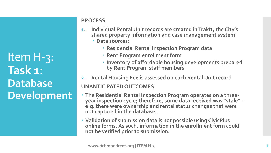Item H-3: **Task 1: Database Development**

### **PROCESS**

- **1. Individual Rental Unit records are created in TrakIt, the City's shared property information and case management system.**
	- **Data sources:**
		- **Residential Rental Inspection Program data**
		- **Rent Program enrollment form**
		- **Inventory of affordable housing developments prepared by Rent Program staff members**
- **2. Rental Housing Fee is assessed on each Rental Unit record**

- **The Residential Rental Inspection Program operates on a three- year inspection cycle; therefore, some data received was "stale" – e.g. there were ownership and rental status changes that were not captured in the database.**
- **Validation of submission data is not possible using CivicPlus online forms. As such, information in the enrollment form could not be verified prior to submission.**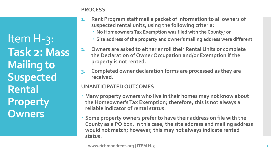Item H-3: **Task 2: Mass Mailing to Suspected Rental Property Owners**

### **PROCESS**

- **1. Rent Program staff mail a packet of information to all owners of suspected rental units, using the following criteria:**
	- **No Homeowners Tax Exemption was filed with the County; or**
	- **Site address of the property and owner's mailing address were different**
- **2. Owners are asked to either enroll their Rental Units or complete the Declaration of Owner Occupation and/or Exemption if the property is not rented.**
- **3. Completed owner declaration forms are processed as they are received.**

- **Many property owners who live in their homes may not know about the Homeowner's Tax Exemption; therefore, this is not always a reliable indicator of rental status.**
- **Some property owners prefer to have their address on file with the County as a PO box. In this case, the site address and mailing address would not match; however, this may not always indicate rented status.**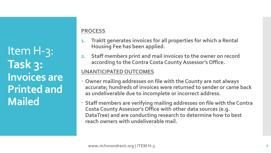Item H-3: **Task 3: Invoices are Printed and Mailed**

# **PROCESS**

- **1. TrakIt generates invoices for all properties for which a Rental Housing Fee has been applied.**
- **2. Staff members print and mail invoices to the owner on record according to the Contra Costa County Assessor's Office.**

- **Owner mailing addresses on file with the County are not always accurate; hundreds of invoices were returned to sender or came back as undeliverable due to incomplete or incorrect address.**
- **Staff members are verifying mailing addresses on file with the Contra Costa County Assessor's Office with other data sources (e.g. DataTree) and are conducting research to determine how to best reach owners with undeliverable mail.**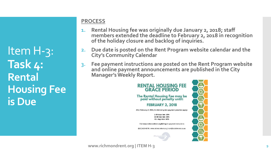Item H-3: **Task 4: Rental Housing Fee is Due**

# **PROCESS**

- **1. Rental Housing fee was originally due January 2, 2018; staff members extended the deadline to February 2, 2018 in recognition of the holiday closure and backlog of inquiries.**
- **2. Due date is posted on the Rent Program website calendar and the City's Community Calendar**
- **3. Fee payment instructions are posted on the Rent Program website and online payment announcements are published in the City Manager's Weekly Report.**



**www.richmondrent.org | ITEM H-3**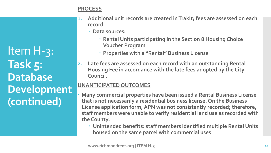#### **PROCESS**

Item H-3: **Task 5: Database Development (continued)**

- **1. Additional unit records are created in TrakIt; fees are assessed on each record**
	- **Data sources:**
		- **Rental Units participating in the Section 8 Housing Choice Voucher Program**
		- **Properties with a "Rental" Business License**
- **2. Late fees are assessed on each record with an outstanding Rental Housing Fee in accordance with the late fees adopted by the City Council.**

- **Many commercial properties have been issued a Rental Business License that is not necessarily a residential business license. On the Business License application form, APN was not consistently recorded; therefore, staff members were unable to verify residential land use as recorded with the County.** 
	- **Unintended benefits: staff members identified multiple Rental Units housed on the same parcel with commercial uses**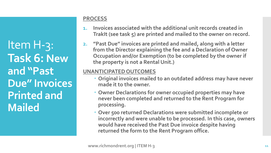Item H-3: **Task 6: New and "Past Due" Invoices Printed and Mailed**

#### **PROCESS**

- **1. Invoices associated with the additional unit records created in TrakIt (see task 5) are printed and mailed to the owner on record.**
- **2. "Past Due" invoices are printed and mailed, along with a letter from the Director explaining the fee and a Declaration of Owner Occupation and/or Exemption (to be completed by the owner if the property is not a Rental Unit.)**

- **Original invoices mailed to an outdated address may have never made it to the owner.**
- **Owner Declarations for owner occupied properties may have never been completed and returned to the Rent Program for processing.**
- **Over 500 returned Declarations were submitted incomplete or incorrectly and were unable to be processed. In this case, owners would have received the Past Due invoice despite having returned the form to the Rent Program office.**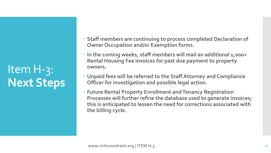# Item H-3: **Next Steps**

- **Staff members are continuing to process completed Declaration of Owner Occupation and/or Exemption forms.**
- **In the coming weeks, staff members will mail an additional 1,000+ Rental Housing Fee invoices for past due payment to property owners.**
- **Unpaid fees will be referred to the Staff Attorney and Compliance Officer for investigation and possible legal action.**
- **Future Rental Property Enrollment and Tenancy Registration Processes will further refine the database used to generate invoices; this is anticipated to lessen the need for corrections associated with the billing cycle.**